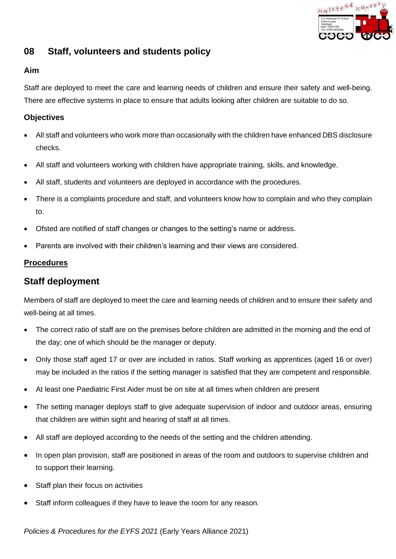

# **08 Staff, volunteers and students policy**

## **Aim**

Staff are deployed to meet the care and learning needs of children and ensure their safety and well-being. There are effective systems in place to ensure that adults looking after children are suitable to do so.

### **Objectives**

- All staff and volunteers who work more than occasionally with the children have enhanced DBS disclosure checks.
- All staff and volunteers working with children have appropriate training, skills, and knowledge.
- All staff, students and volunteers are deployed in accordance with the procedures.
- There is a complaints procedure and staff, and volunteers know how to complain and who they complain to.
- Ofsted are notified of staff changes or changes to the setting's name or address.
- Parents are involved with their children's learning and their views are considered.

### **Procedures**

## **Staff deployment**

**Policies and students policy**<br> **Policies Alliant and deployed to moot the case and learning moods of children and ensure their safety and velocities and the EYFS 2021<br>
There are different to the case and learning moods to** Members of staff are deployed to meet the care and learning needs of children and to ensure their safety and well-being at all times.

- The correct ratio of staff are on the premises before children are admitted in the morning and the end of the day; one of which should be the manager or deputy.
- Only those staff aged 17 or over are included in ratios. Staff working as apprentices (aged 16 or over) may be included in the ratios if the setting manager is satisfied that they are competent and responsible.
- At least one Paediatric First Aider must be on site at all times when children are present
- The setting manager deploys staff to give adequate supervision of indoor and outdoor areas, ensuring that children are within sight and hearing of staff at all times.
- All staff are deployed according to the needs of the setting and the children attending.
- In open plan provision, staff are positioned in areas of the room and outdoors to supervise children and to support their learning.
- Staff plan their focus on activities
- Staff inform colleagues if they have to leave the room for any reason.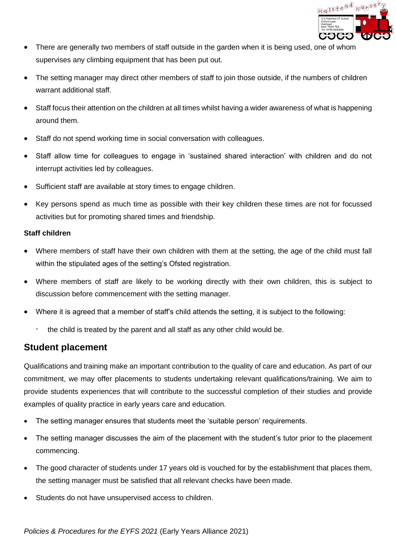

- There are generally two members of staff outside in the garden when it is being used, one of whom supervises any climbing equipment that has been put out.
- The setting manager may direct other members of staff to join those outside, if the numbers of children warrant additional staff.
- Staff focus their attention on the children at all times whilst having a wider awareness of what is happening around them.
- Staff do not spend working time in social conversation with colleagues.
- Staff allow time for colleagues to engage in 'sustained shared interaction' with children and do not interrupt activities led by colleagues.
- Sufficient staff are available at story times to engage children.
- Key persons spend as much time as possible with their key children these times are not for focussed activities but for promoting shared times and friendship.

#### **Staff children**

- Where members of staff have their own children with them at the setting, the age of the child must fall within the stipulated ages of the setting's Ofsted registration.
- Where members of staff are likely to be working directly with their own children, this is subject to discussion before commencement with the setting manager.
- Where it is agreed that a member of staff's child attends the setting, it is subject to the following:
	- the child is treated by the parent and all staff as any other child would be.

## **Student placement**

**Policies are openerally two members of starf outside in the gorden when it is being used, one of vice<br>supervises any climbing equipment that has been put out.<br>
<b>Policies are all forces for the EYFS 2021** (Early The settin Qualifications and training make an important contribution to the quality of care and education. As part of our commitment, we may offer placements to students undertaking relevant qualifications/training. We aim to provide students experiences that will contribute to the successful completion of their studies and provide examples of quality practice in early years care and education.

- The setting manager ensures that students meet the 'suitable person' requirements.
- The setting manager discusses the aim of the placement with the student's tutor prior to the placement commencing.
- The good character of students under 17 years old is vouched for by the establishment that places them, the setting manager must be satisfied that all relevant checks have been made.
- Students do not have unsupervised access to children.